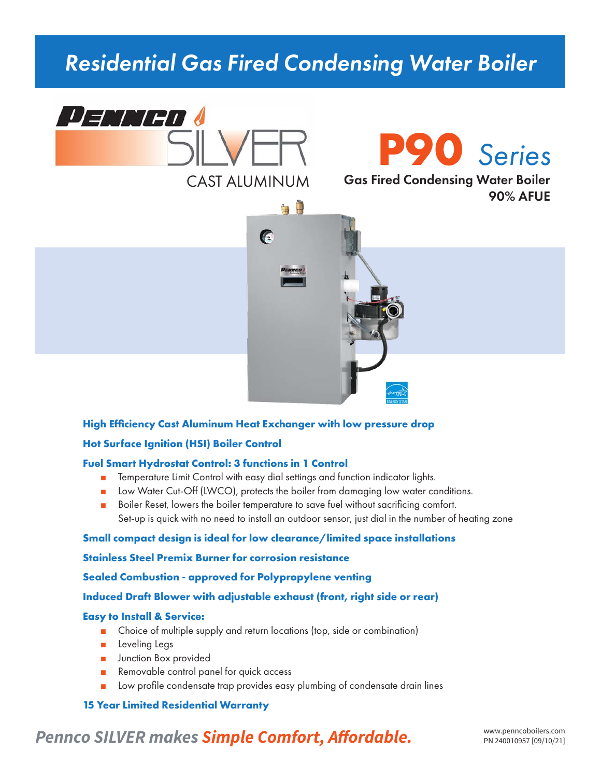# *Residential Gas Fired Condensing Water Boiler*





90% AFUE



#### **High Efficiency Cast Aluminum Heat Exchanger with low pressure drop**

#### **Hot Surface Ignition (HSI) Boiler Control**

#### **Fuel Smart Hydrostat Control: 3 functions in 1 Control**

- Temperature Limit Control with easy dial settings and function indicator lights.
- Low Water Cut-Off (LWCO), protects the boiler from damaging low water conditions.
- Boiler Reset, lowers the boiler temperature to save fuel without sacrificing comfort. Set-up is quick with no need to install an outdoor sensor, just dial in the number of heating zone

#### **Small compact design is ideal for low clearance/limited space installations**

#### **Stainless Steel Premix Burner for corrosion resistance**

**Sealed Combustion - approved for Polypropylene venting**

#### **Induced Draft Blower with adjustable exhaust (front, right side or rear)**

#### **Easy to Install & Service:**

- Choice of multiple supply and return locations (top, side or combination)
- Leveling Legs
- Junction Box provided
- Removable control panel for quick access
- Low profile condensate trap provides easy plumbing of condensate drain lines

#### **15 Year Limited Residential Warranty**

# Pennco SILVER makes **Simple Comfort, Affordable.** WWW.penncoboilers.com